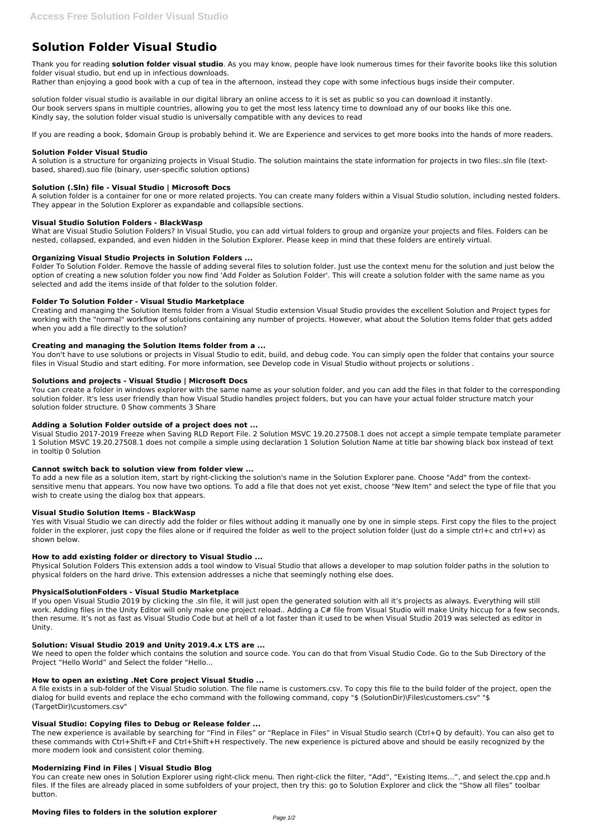# **Solution Folder Visual Studio**

Thank you for reading **solution folder visual studio**. As you may know, people have look numerous times for their favorite books like this solution folder visual studio, but end up in infectious downloads.

Rather than enjoying a good book with a cup of tea in the afternoon, instead they cope with some infectious bugs inside their computer.

solution folder visual studio is available in our digital library an online access to it is set as public so you can download it instantly. Our book servers spans in multiple countries, allowing you to get the most less latency time to download any of our books like this one. Kindly say, the solution folder visual studio is universally compatible with any devices to read

If you are reading a book, \$domain Group is probably behind it. We are Experience and services to get more books into the hands of more readers.

## **Solution Folder Visual Studio**

A solution is a structure for organizing projects in Visual Studio. The solution maintains the state information for projects in two files:.sln file (textbased, shared).suo file (binary, user-specific solution options)

# **Solution (.Sln) file - Visual Studio | Microsoft Docs**

A solution folder is a container for one or more related projects. You can create many folders within a Visual Studio solution, including nested folders. They appear in the Solution Explorer as expandable and collapsible sections.

## **Visual Studio Solution Folders - BlackWasp**

What are Visual Studio Solution Folders? In Visual Studio, you can add virtual folders to group and organize your projects and files. Folders can be nested, collapsed, expanded, and even hidden in the Solution Explorer. Please keep in mind that these folders are entirely virtual.

# **Organizing Visual Studio Projects in Solution Folders ...**

Folder To Solution Folder. Remove the hassle of adding several files to solution folder. Just use the context menu for the solution and just below the option of creating a new solution folder you now find 'Add Folder as Solution Folder'. This will create a solution folder with the same name as you selected and add the items inside of that folder to the solution folder.

Yes with Visual Studio we can directly add the folder or files without adding it manually one by one in simple steps. First copy the files to the project folder in the explorer, just copy the files alone or if required the folder as well to the project solution folder (just do a simple ctrl+c and ctrl+v) as shown below.

## **Folder To Solution Folder - Visual Studio Marketplace**

Creating and managing the Solution Items folder from a Visual Studio extension Visual Studio provides the excellent Solution and Project types for working with the "normal" workflow of solutions containing any number of projects. However, what about the Solution Items folder that gets added when you add a file directly to the solution?

## **Creating and managing the Solution Items folder from a ...**

You don't have to use solutions or projects in Visual Studio to edit, build, and debug code. You can simply open the folder that contains your source files in Visual Studio and start editing. For more information, see Develop code in Visual Studio without projects or solutions .

## **Solutions and projects - Visual Studio | Microsoft Docs**

You can create a folder in windows explorer with the same name as your solution folder, and you can add the files in that folder to the corresponding solution folder. It's less user friendly than how Visual Studio handles project folders, but you can have your actual folder structure match your solution folder structure. 0 Show comments 3 Share

## **Adding a Solution Folder outside of a project does not ...**

Visual Studio 2017-2019 Freeze when Saving RLD Report File. 2 Solution MSVC 19.20.27508.1 does not accept a simple tempate template parameter 1 Solution MSVC 19.20.27508.1 does not compile a simple using declaration 1 Solution Solution Name at title bar showing black box instead of text in tooltip 0 Solution

## **Cannot switch back to solution view from folder view ...**

To add a new file as a solution item, start by right-clicking the solution's name in the Solution Explorer pane. Choose "Add" from the contextsensitive menu that appears. You now have two options. To add a file that does not yet exist, choose "New Item" and select the type of file that you wish to create using the dialog box that appears.

## **Visual Studio Solution Items - BlackWasp**

## **How to add existing folder or directory to Visual Studio ...**

Physical Solution Folders This extension adds a tool window to Visual Studio that allows a developer to map solution folder paths in the solution to physical folders on the hard drive. This extension addresses a niche that seemingly nothing else does.

## **PhysicalSolutionFolders - Visual Studio Marketplace**

If you open Visual Studio 2019 by clicking the .sln file, it will just open the generated solution with all it's projects as always. Everything will still work. Adding files in the Unity Editor will only make one project reload.. Adding a C# file from Visual Studio will make Unity hiccup for a few seconds, then resume. It's not as fast as Visual Studio Code but at hell of a lot faster than it used to be when Visual Studio 2019 was selected as editor in Unity.

## **Solution: Visual Studio 2019 and Unity 2019.4.x LTS are ...**

We need to open the folder which contains the solution and source code. You can do that from Visual Studio Code. Go to the Sub Directory of the Project "Hello World" and Select the folder "Hello...

#### **How to open an existing .Net Core project Visual Studio ...**

A file exists in a sub-folder of the Visual Studio solution. The file name is customers.csv. To copy this file to the build folder of the project, open the dialog for build events and replace the echo command with the following command, copy "\$ (SolutionDir)\Files\customers.csv" "\$ (TargetDir)\customers.csv"

#### **Visual Studio: Copying files to Debug or Release folder ...**

The new experience is available by searching for "Find in Files" or "Replace in Files" in Visual Studio search (Ctrl+Q by default). You can also get to these commands with Ctrl+Shift+F and Ctrl+Shift+H respectively. The new experience is pictured above and should be easily recognized by the more modern look and consistent color theming.

#### **Modernizing Find in Files | Visual Studio Blog**

You can create new ones in Solution Explorer using right-click menu. Then right-click the filter, "Add", "Existing Items…", and select the.cpp and.h files. If the files are already placed in some subfolders of your project, then try this: go to Solution Explorer and click the "Show all files" toolbar button.

#### **Moving files to folders in the solution explorer**